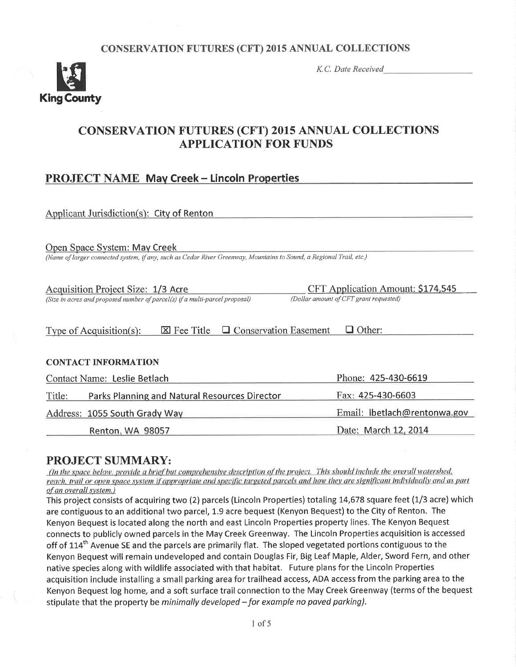## **CONSERVATION FUTURES (CFT) 2015 ANNUAL COLLECTIONS**



K.C. Date Received

# **CONSERVATION FUTURES (CFT) 2015 ANNUAL COLLECTIONS APPLICATION FOR FUNDS**

# **PROJECT NAME May Creek - Lincoln Properties**

| Applicant Jurisdiction(s): City of Renton                                                                                                           |                                                                             |  |  |  |  |
|-----------------------------------------------------------------------------------------------------------------------------------------------------|-----------------------------------------------------------------------------|--|--|--|--|
| Open Space System: May Creek<br>(Name of larger connected system, if any, such as Cedar River Greenway, Mountains to Sound, a Regional Trail, etc.) |                                                                             |  |  |  |  |
| Acquisition Project Size: 1/3 Acre<br>(Size in acres and proposed number of parcel(s) if a multi-parcel proposal)                                   | CFT Application Amount: \$174,545<br>(Dollar amount of CFT grant requested) |  |  |  |  |
| $\boxtimes$ Fee Title $\Box$ Conservation Easement<br>$\Box$ Other:<br>Type of Acquisition(s):                                                      |                                                                             |  |  |  |  |
| <b>CONTACT INFORMATION</b>                                                                                                                          |                                                                             |  |  |  |  |
| Contact Name: Leslie Betlach                                                                                                                        | Phone: 425-430-6619                                                         |  |  |  |  |
| Parks Planning and Natural Resources Director<br>Title:                                                                                             | Fax: 425-430-6603                                                           |  |  |  |  |
| Address: 1055 South Grady Way                                                                                                                       | Email: lbetlach@rentonwa.gov                                                |  |  |  |  |
| <b>Renton, WA 98057</b>                                                                                                                             | Date: March 12, 2014                                                        |  |  |  |  |

# **PROJECT SUMMARY:**

(In the space below, provide a brief but comprehensive description of the project. This should include the overall watershed. reach, trail or open space system if appropriate and specific targeted parcels and how they are significant individually and as part of an overall system.)

This project consists of acquiring two (2) parcels (Lincoln Properties) totaling 14,678 square feet (1/3 acre) which are contiguous to an additional two parcel, 1.9 acre bequest (Kenyon Bequest) to the City of Renton. The Kenyon Bequest is located along the north and east Lincoln Properties property lines. The Kenyon Bequest connects to publicly owned parcels in the May Creek Greenway. The Lincoln Properties acquisition is accessed off of 114<sup>th</sup> Avenue SE and the parcels are primarily flat. The sloped vegetated portions contiguous to the Kenyon Bequest will remain undeveloped and contain Douglas Fir, Big Leaf Maple, Alder, Sword Fern, and other native species along with wildlife associated with that habitat. Future plans for the Lincoln Properties acquisition include installing a small parking area for trailhead access, ADA access from the parking area to the Kenyon Bequest log home, and a soft surface trail connection to the May Creek Greenway (terms of the bequest stipulate that the property be minimally developed - for example no paved parking).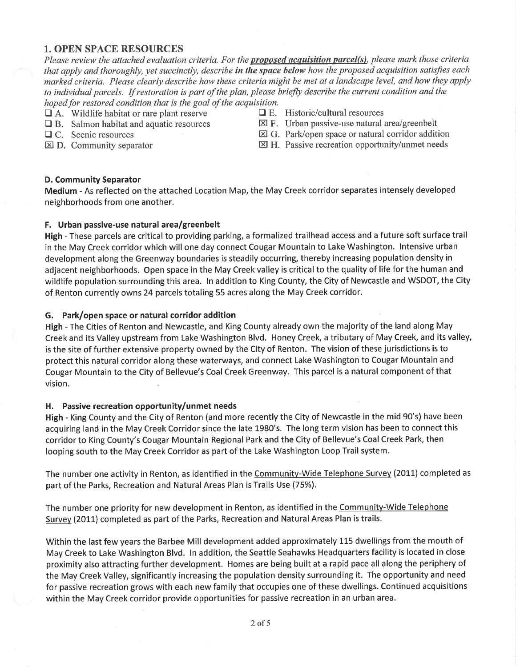#### 1. OPEN SPACE RESOURCES

Please review the attached evaluation criteria. For the **proposed acquisition parcel(s)**, please mark those criteria that apply and thoroughly, yet succinctly, describe in the space below how the proposed acquisition satisfies each marked criteria. Please clearly describe how these criteria might be met at a landscape level, and how they apply to individual parcels. If restoration is part of the plan, please briefly describe the current condition and the hoped for restored condition that is the goal of the acquisition.<br> $\Box$  A. Wildlife habitat or rare plant reserve  $\Box$  E. Historic/cultural resources

- 
- $\Box$  B. Salmon habitat and aquatic resources  $\Box$  C. Scenic resources
	-
- 
- 
- $\Box$  A. Wildlife habitat or rare plant reserve  $\Box$  E. Historic/cultural resources  $\Box$  B. Salmon habitat and aquatic resources  $\boxtimes$  F. Urban passive-use natural area/greenbelt
- 
- 
- $\Box$  C. Scenic resources  $\boxtimes$  G. Park/open space or natural corridor addition  $\boxtimes$  D. Community separator  $\boxtimes$  H. Passive recreation opportunity/unmet needs
	- $\boxtimes$  H. Passive recreation opportunity/unmet needs

#### D. Community Separator

Medium - As reflected on the attached Location Map, the May Creek corridor separates intensely developed neighborhoods from one another.

#### F. Urban passive-use natural area/greenbelt

High - These parcels are critical to providing parking, a formalized trailhead access and a future soft surface trail in the May Creek corridor which will one day connect Cougar Mountain to Lake Washington. lntensive urban development along the Greenway boundaries is steadily occurring, thereby increasing population density in adjacent neighborhoods. Open space in the May Creek valley is critical to the quality of life for the human and wildlife population surrounding this area. ln addition to King County, the City of Newcastle and WSDOT, the City of Renton currently owns 24 parcels totaling 55 acres along the May Creek corridor.

#### G. Park/open space or natural corridor addition

High - The Cities of Renton and Newcastle, and King County already own the majority of the land along May Creek and its Valley upstream from Lake Washington Blvd, Honey Creek, a tributary of May Creek, and its valley, is the site of further extensive property owned by the City of Renton. The vision of these jurisdictions is to protect this natural corridor along these waterways, and connect Lake Washington to Cougar Mountain and Cougar Mountain to the City of Bellevue's Coal Creek Greenway. This parcel is a natural component of that vision.

#### H. Passive recreation opportunity/unmet needs

High - King County and the City of Renton (and more recently the City of Newcastle in the mid 90's) have been acquiring land in the May Creek Corridor since the late 1980's. The long term vision has been to connect this corridor to King County's Cougar Mountain Regional Park and the City of Bellevue's Coal Creek Park, then looping south to the May Creek Corridor as part of the Lake Washington Loop Trail system.

The number one activity in Renton, as identified in the Community-Wide Telephone Survey (2011) completed as part of the Parks, Recreation and Natural Areas Plan is Trails Use (75%).

The number one priority for new development in Renton, as identified in the Community-Wide Telephone Survey (2011) completed as part of the Parks, Recreation and Natural Areas Plan is trails.

Within the last few years the Barbee Mill development added approximately 115 dwellings from the mouth of May Creek to Lake Washington Blvd. ln addition, the Seattle Seahawks Headquarters facility is located in close proximity also attracting further development. Homes are being built at a rapid pace all along the periphery of the May Creek Valley, significantly increasing the population density surrounding it. The opportunity and need for passive recreation grows with each new family that occupies one of these dwellings. Continued acquisitions within the May Creek corridor provide opportunities for passive recreation in an urban area.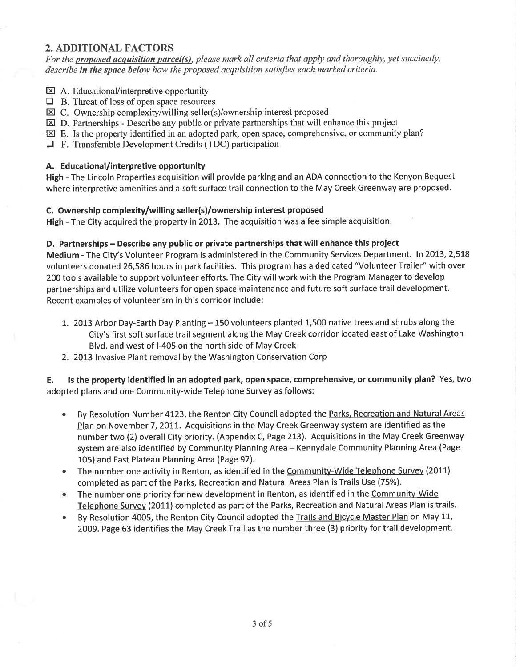#### 2. ADDITIONAL FACTORS

For the proposed acquisition parcel(s), please mark all criteria that apply and thoroughly, yet succinctly, describe in the space below how the proposed acquisition satisfies each marked criteria.

- $\boxtimes$  A. Educational/interpretive opportunity
- $\Box$  B. Threat of loss of open space resources
- $\boxtimes$  C. Ownership complexity/willing seller(s)/ownership interest proposed
- $\boxtimes$  D. Partnerships Describe any public or private partnerships that will enhance this project
- $\boxtimes$  E. Is the property identified in an adopted park, open space, comprehensive, or community plan?
- $\Box$  F. Transferable Development Credits (TDC) participation

#### A. Educational/interpretive opportunity

High - The Lincoln Properties acquisition will provide parking and an ADA connection to the Kenyon Bequest where interpretive amenities and a soft surface trail connection to the May Creek Greenway are proposed.

#### C. Ownership complexity/willing seller(s)/ownership interest proposed

High - The City acquired the property in 2013. The acquisition was a fee simple acquisition.

#### D. Partnerships - Describe any public or private partnerships that will enhance this project

Medium - The City's Volunteer Program is administered in the Community Services Department. In 2013, 2,518 volunteers donated 26,586 hours in park facilities. This program has a dedicated "Volunteer Trailer" with over 200 tools available to support volunteer efforts. The City will work with the Program Manager to develop partnerships and utilize volunteers for open space maintenance and future soft surface trail development. Recent examples of volunteerism in this corridor include:

- 1. 2013 Arbor Day-Earth Day Planting 150 volunteers planted 1,500 native trees and shrubs along the City's first soft surface trail segment along the May Creek corridor located east of Lake Washington Blvd. and west of l-405 on the north side of May Creek
- 2. 2013 Invasive Plant removal by the Washington Conservation Corp

E. ls the property identified in an adopted park, open space, comprehensive, or community plan? Yes, two adopted plans and one Community-wide Telephone Survey as follows:

- By Resolution Number 4123, the Renton City Council adopted the Parks, Recreation and Natural Areas Plan on November 7, 2011. Acquisitions in the May Creek Greenway system are identified as the number two (2) overall City priority. (Appendix C, Page 213). Acquisitions in the May Creek Greenway system are also identified by Community Planning Area - Kennydale Community Planning Area (Page 105) and East Plateau Planning Area (Page 97). a
- The number one activity in Renton, as identified in the Community-Wide Telephone Survey (2011) completed as part of the Parks, Recreation and Natural Areas Plan is Trails Use (75%). a
- The number one priority for new development in Renton, as identified in the Community-Wide Telephone Survey (2011) completed as part of the Parks, Recreation and Natural Areas Plan is trails. a
- By Resolution 4005, the Renton City Council adopted the Trails and Bicycle Master Plan on May 11, 2009. Page 63 identifies the May Creek Trail as the number three (3) priority for trail development. a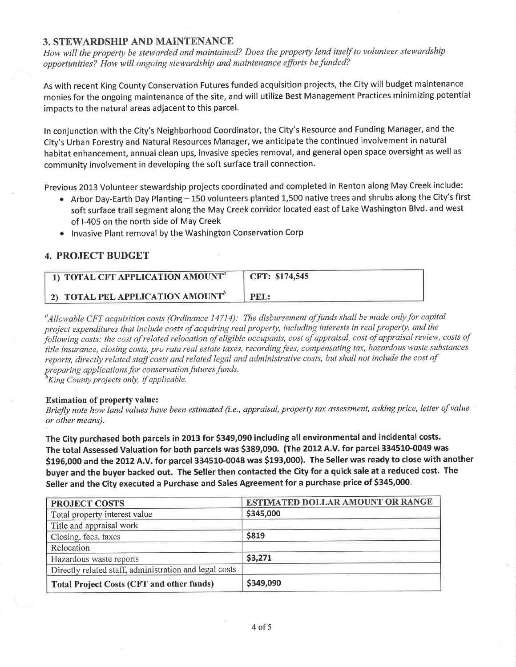#### 3. STEWARDSHIP AND MAINTENANCE

How will the property be stewarded and maintained? Does the property lend itself to volunteer stewardship opportunities? How will ongoing stewardship and maintenance efforts befunded?

As with recent King County Conservation Futures funded acquisition projects, the City will budget maintenance monies for the ongoing maintenance of the site, and will utilize Best Management Practices minimizing potential impacts to the natural areas adjacent to this parcel.

ln conjunction with the City's Neighborhood Coordinator, the City's Resource and Funding Manager, and the City's Urban Forestry and Natural Resources Manager, we anticipate the continued involvement in natural habitat enhancement, annual clean ups, invasive species removal, and general open space oversight as well as community involvement in developing the soft surface trail connection.

Previous 2013 Volunteer stewardship projects coordinated and completed in Renton along May Creek include:

- Arbor Day-Earth Day Planting 150 volunteers planted 1,500 native trees and shrubs along the City's first soft surface trail segment along the May Creek corridor located east of Lake Washington Blvd. and west of l-405 on the north side of May Creek
- Invasive Plant removal by the Washington Conservation Corp

## 4. PROJECT BUDGET

|                                              | CFT: \$174,545 |
|----------------------------------------------|----------------|
| 2) TOTAL PEL APPLICATION AMOUNT <sup>o</sup> | <b>PEL:</b>    |

 $^a$ Allowable CFT acquisition costs (Ordinance 14714): The disbursement of funds shall be made only for capital project expenditures that include costs of acquiring real property, including interests in real property, and the following costs: the cost of related relocation of eligible occupants, cost of appraisal, cost of appraisal review, costs of title insurance, closing costs, pro rata real estate taxes, recording fees, compensating tax, hazardous waste substances reports, directly related staff costs and related legal and administrative costs, but shall not include the cost of preparing applications for conservation futures funds.

 ${}^b$ King County projects only, if applicable.

#### Estimation of property value:

Briefly note how land values have been estimated (i.e., appraisal, property tax assessment, asking price, letter of value or other means).

The City purchased both parcels in 2013 for \$349,090 including all environmental and incidental costs. The total Assessed Valuation for both parcels was \$389,090. (The 2012 A.V. for parcel 334510-0049 was \$196,000 and the 2012 A.V. for parcel 334510-0048 was \$193,000). The Seller was ready to close with another buyer and the buyer backed out. The Seller then contacted the City for a quick sale at a reduced cost. The Seller and the City executed a Purchase and Sales Agreement for a purchase price of \$345,000.

| <b>PROJECT COSTS</b>                                   | <b>ESTIMATED DOLLAR AMOUNT OR RANGE</b> |
|--------------------------------------------------------|-----------------------------------------|
| Total property interest value                          | \$345,000                               |
| Title and appraisal work                               |                                         |
| Closing, fees, taxes                                   | \$819                                   |
| Relocation                                             |                                         |
| Hazardous waste reports                                | \$3,271                                 |
| Directly related staff, administration and legal costs |                                         |
| <b>Total Project Costs (CFT and other funds)</b>       | \$349,090                               |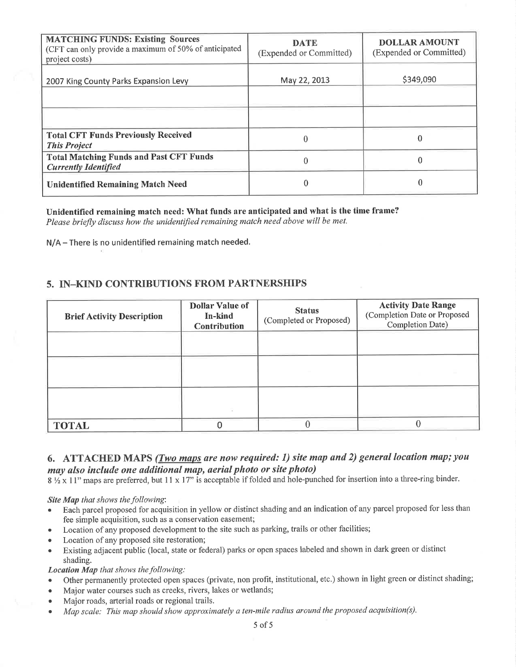| <b>MATCHING FUNDS: Existing Sources</b><br>(CFT can only provide a maximum of 50% of anticipated<br>project costs) | <b>DATE</b><br>(Expended or Committed) | <b>DOLLAR AMOUNT</b><br>(Expended or Committed) |
|--------------------------------------------------------------------------------------------------------------------|----------------------------------------|-------------------------------------------------|
| 2007 King County Parks Expansion Levy                                                                              | May 22, 2013                           | \$349,090                                       |
|                                                                                                                    |                                        |                                                 |
|                                                                                                                    |                                        |                                                 |
| <b>Total CFT Funds Previously Received</b><br><b>This Project</b>                                                  |                                        |                                                 |
| <b>Total Matching Funds and Past CFT Funds</b><br><b>Currently Identified</b>                                      |                                        |                                                 |
| <b>Unidentified Remaining Match Need</b>                                                                           |                                        |                                                 |

Unidentified remaining match need: What funds are anticipated and what is the time frame? Please briefly discuss how the unidentified remaining match need above will be met.

N/A-There is no unidentified remaining match needed.

#### 5. IN-KIND CONTRIBUTIONS FROM PARTNERSHIPS

| <b>Brief Activity Description</b> | <b>Dollar Value of</b><br>In-kind<br><b>Contribution</b> | <b>Status</b><br>(Completed or Proposed) | <b>Activity Date Range</b><br>(Completion Date or Proposed<br>Completion Date) |
|-----------------------------------|----------------------------------------------------------|------------------------------------------|--------------------------------------------------------------------------------|
|                                   |                                                          |                                          |                                                                                |
|                                   |                                                          |                                          |                                                                                |
|                                   |                                                          |                                          |                                                                                |
| <b>TOTAL</b>                      |                                                          |                                          |                                                                                |

## 6. ATTACHED MAPS  $(Two$  maps are now required: 1) site map and 2) general location map; you may also include one additional map, aerial photo or site photo)

 $8\frac{1}{2}$  x 11" maps are preferred, but 11 x 17" is acceptable if folded and hole-punched for insertion into a three-ring binder.

Site Map that shows the following:

- Each parcel proposed for acquisition in yellow or distinct shading and an indication of any parcel proposed for less than fee simple acquisition, such as a conservation easement;
- Location of any proposed development to the site such as parking, trails or other facilities;
- Location of any proposed site restoration;
- o Existing adjacent public (local, state or federal) parks or open spaces labeled and shown in dark green or distinct shading.

Location Map that shows the following:

- . Other permanently protected open spaces (private, non profit, institutional, etc.) shown in light green or distinct shading;
- . Major water courses such as creeks, rivers, lakes or wetlands;
- . Major roads, arterial roads or regional trails.
- Map scale: This map should show approximately a ten-mile radius around the proposed acquisition(s).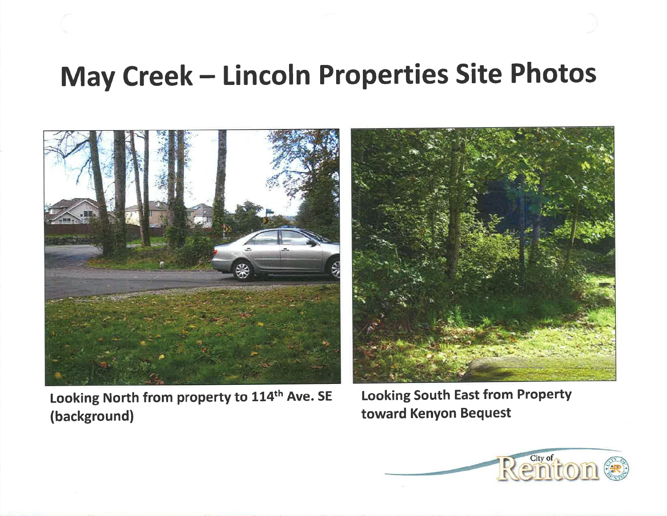# May Creek - Lincoln Properties Site Photos



Looking North from property to 114th Ave. SE (background)

Looking South East from Property toward Kenyon Bequest